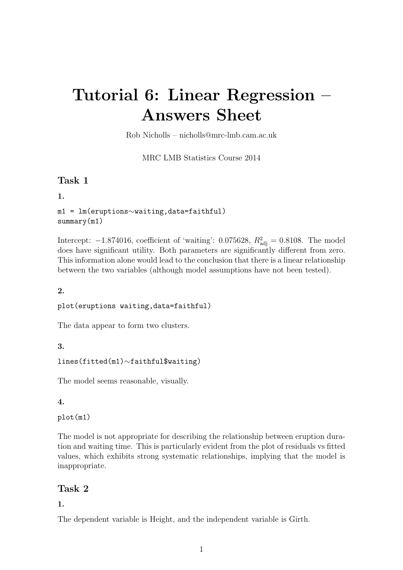# Tutorial 6: Linear Regression – Answers Sheet

Rob Nicholls – nicholls@mrc-lmb.cam.ac.uk

MRC LMB Statistics Course 2014

# Task 1

1.

```
m1 = lm(eruptions∼waiting,data=faithful)
summary(m1)
```
Intercept:  $-1.874016$ , coefficient of 'waiting': 0.075628,  $R_{\text{adj}}^2 = 0.8108$ . The model does have significant utility. Both parameters are significantly different from zero. This information alone would lead to the conclusion that there is a linear relationship between the two variables (although model assumptions have not been tested).

## 2.

#### plot(eruptions waiting,data=faithful)

The data appear to form two clusters.

## 3.

```
lines(fitted(m1)∼faithful$waiting)
```
The model seems reasonable, visually.

## 4.

plot(m1)

The model is not appropriate for describing the relationship between eruption duration and waiting time. This is particularly evident from the plot of residuals vs fitted values, which exhibits strong systematic relationships, implying that the model is inappropriate.

# Task 2

## 1.

The dependent variable is Height, and the independent variable is Girth.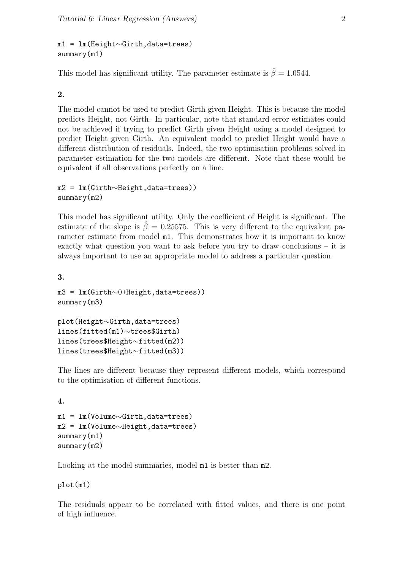m1 = lm(Height∼Girth,data=trees) summary(m1)

This model has significant utility. The parameter estimate is  $\hat{\beta} = 1.0544$ .

## 2.

The model cannot be used to predict Girth given Height. This is because the model predicts Height, not Girth. In particular, note that standard error estimates could not be achieved if trying to predict Girth given Height using a model designed to predict Height given Girth. An equivalent model to predict Height would have a different distribution of residuals. Indeed, the two optimisation problems solved in parameter estimation for the two models are different. Note that these would be equivalent if all observations perfectly on a line.

```
m2 = lm(Girth∼Height,data=trees))
summary(m2)
```
This model has significant utility. Only the coefficient of Height is significant. The estimate of the slope is  $\hat{\beta} = 0.25575$ . This is very different to the equivalent parameter estimate from model m1. This demonstrates how it is important to know exactly what question you want to ask before you try to draw conclusions – it is always important to use an appropriate model to address a particular question.

3.

4.

```
m3 = lm(Girth∼0+Height,data=trees))
summary(m3)
```

```
plot(Height∼Girth,data=trees)
lines(fitted(m1)∼trees$Girth)
lines(trees$Height∼fitted(m2))
lines(trees$Height∼fitted(m3))
```
The lines are different because they represent different models, which correspond to the optimisation of different functions.

```
m1 = lm(Volume∼Girth,data=trees)
m2 = lm(Volume∼Height,data=trees)
summary(m1)
summary(m2)
```
Looking at the model summaries, model  $m1$  is better than  $m2$ .

plot(m1)

The residuals appear to be correlated with fitted values, and there is one point of high influence.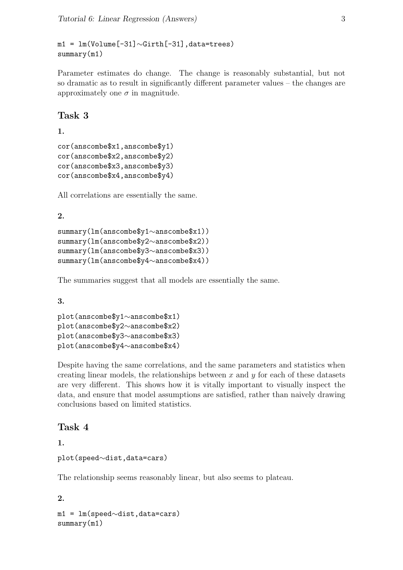m1 = lm(Volume[-31]∼Girth[-31],data=trees) summary(m1)

Parameter estimates do change. The change is reasonably substantial, but not so dramatic as to result in significantly different parameter values – the changes are approximately one  $\sigma$  in magnitude.

## Task 3

1.

```
cor(anscombe$x1,anscombe$y1)
cor(anscombe$x2,anscombe$y2)
cor(anscombe$x3,anscombe$y3)
cor(anscombe$x4,anscombe$y4)
```
All correlations are essentially the same.

## 2.

```
summary(lm(anscombe$y1∼anscombe$x1))
summary(lm(anscombe$y2∼anscombe$x2))
summary(lm(anscombe$y3∼anscombe$x3))
summary(lm(anscombe$y4∼anscombe$x4))
```
The summaries suggest that all models are essentially the same.

3.

```
plot(anscombe$y1∼anscombe$x1)
plot(anscombe$y2∼anscombe$x2)
plot(anscombe$y3∼anscombe$x3)
plot(anscombe$y4∼anscombe$x4)
```
Despite having the same correlations, and the same parameters and statistics when creating linear models, the relationships between  $x$  and  $y$  for each of these datasets are very different. This shows how it is vitally important to visually inspect the data, and ensure that model assumptions are satisfied, rather than naively drawing conclusions based on limited statistics.

# Task 4

1.

```
plot(speed∼dist,data=cars)
```
The relationship seems reasonably linear, but also seems to plateau.

```
2.
m1 = lm(speed∼dist,data=cars)
summary(m1)
```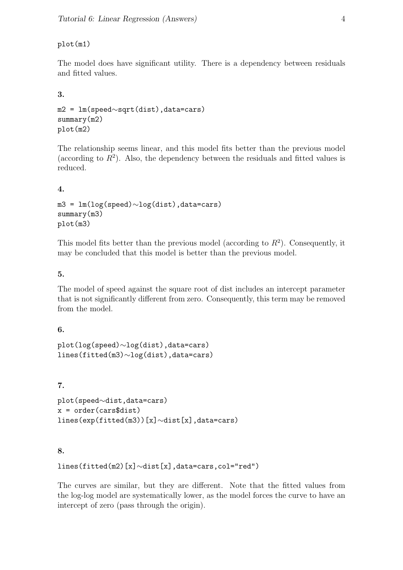## plot(m1)

The model does have significant utility. There is a dependency between residuals and fitted values.

## 3.

```
m2 = lm(speed∼sqrt(dist),data=cars)
summary(m2)
plot(m2)
```
The relationship seems linear, and this model fits better than the previous model (according to  $R^2$ ). Also, the dependency between the residuals and fitted values is reduced.

## 4.

```
m3 = lm(log(speed)∼log(dist),data=cars)
summary(m3)
plot(m3)
```
This model fits better than the previous model (according to  $R^2$ ). Consequently, it may be concluded that this model is better than the previous model.

## 5.

The model of speed against the square root of dist includes an intercept parameter that is not significantly different from zero. Consequently, this term may be removed from the model.

## 6.

```
plot(log(speed)∼log(dist),data=cars)
lines(fitted(m3)∼log(dist),data=cars)
```
## 7.

```
plot(speed∼dist,data=cars)
x = order(cars\dist)
lines(exp(fitted(m3))[x]∼dist[x],data=cars)
```
## 8.

```
lines(fitted(m2)[x]∼dist[x],data=cars,col="red")
```
The curves are similar, but they are different. Note that the fitted values from the log-log model are systematically lower, as the model forces the curve to have an intercept of zero (pass through the origin).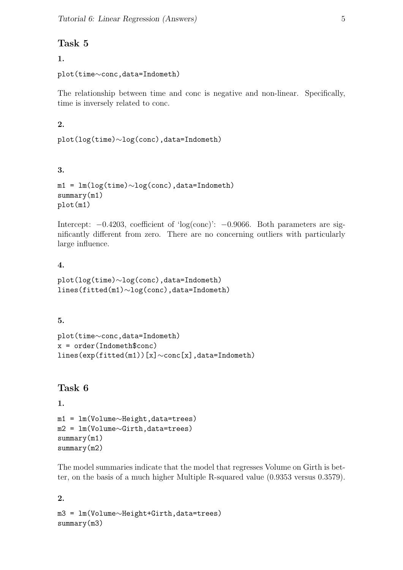# Task 5

# 1.

```
plot(time∼conc,data=Indometh)
```
The relationship between time and conc is negative and non-linear. Specifically, time is inversely related to conc.

# 2.

```
plot(log(time)∼log(conc),data=Indometh)
```
# 3.

```
m1 = lm(log(time)∼log(conc),data=Indometh)
summary(m1)
plot(m1)
```
Intercept: −0.4203, coefficient of 'log(conc)': −0.9066. Both parameters are significantly different from zero. There are no concerning outliers with particularly large influence.

# 4.

```
plot(log(time)∼log(conc),data=Indometh)
lines(fitted(m1)∼log(conc),data=Indometh)
```
# 5.

```
plot(time∼conc,data=Indometh)
x = order(Indometh\$cone)lines(exp(fitted(m1))[x]∼conc[x],data=Indometh)
```
# Task 6

```
1.
```

```
m1 = lm(Volume∼Height,data=trees)
m2 = lm(Volume∼Girth,data=trees)
summary(m1)
summary(m2)
```
The model summaries indicate that the model that regresses Volume on Girth is better, on the basis of a much higher Multiple R-squared value (0.9353 versus 0.3579).

2. m3 = lm(Volume∼Height+Girth,data=trees) summary(m3)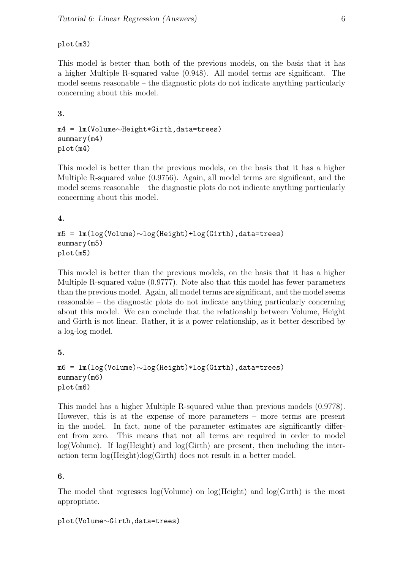## plot(m3)

This model is better than both of the previous models, on the basis that it has a higher Multiple R-squared value (0.948). All model terms are significant. The model seems reasonable – the diagnostic plots do not indicate anything particularly concerning about this model.

## 3.

```
m4 = lm(Volume∼Height*Girth,data=trees)
summary(m4)
plot(m4)
```
This model is better than the previous models, on the basis that it has a higher Multiple R-squared value (0.9756). Again, all model terms are significant, and the model seems reasonable – the diagnostic plots do not indicate anything particularly concerning about this model.

## 4.

```
m5 = lm(log(Volume)∼log(Height)+log(Girth),data=trees)
summary(m5)
plot(m5)
```
This model is better than the previous models, on the basis that it has a higher Multiple R-squared value (0.9777). Note also that this model has fewer parameters than the previous model. Again, all model terms are significant, and the model seems reasonable – the diagnostic plots do not indicate anything particularly concerning about this model. We can conclude that the relationship between Volume, Height and Girth is not linear. Rather, it is a power relationship, as it better described by a log-log model.

## 5.

```
m6 = lm(log(Volume)∼log(Height)*log(Girth),data=trees)
summary(m6)
plot(m6)
```
This model has a higher Multiple R-squared value than previous models (0.9778). However, this is at the expense of more parameters – more terms are present in the model. In fact, none of the parameter estimates are significantly different from zero. This means that not all terms are required in order to model  $log(Volume)$ . If  $log(Height)$  and  $log(Girth)$  are present, then including the interaction term log(Height):log(Girth) does not result in a better model.

## 6.

The model that regresses log(Volume) on log(Height) and log(Girth) is the most appropriate.

```
plot(Volume∼Girth,data=trees)
```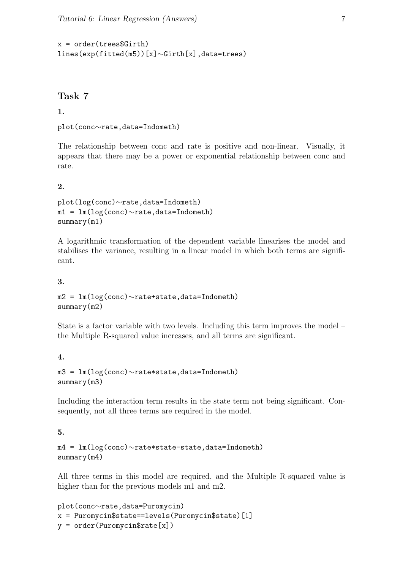```
x = order(trees \& Girth)lines(exp(fitted(m5))[x]∼Girth[x],data=trees)
```
# Task 7

## 1.

```
plot(conc∼rate,data=Indometh)
```
The relationship between conc and rate is positive and non-linear. Visually, it appears that there may be a power or exponential relationship between conc and rate.

## $2<sub>1</sub>$

```
plot(log(conc)∼rate,data=Indometh)
m1 = lm(log(conc)∼rate,data=Indometh)
summary(m1)
```
A logarithmic transformation of the dependent variable linearises the model and stabilises the variance, resulting in a linear model in which both terms are significant.

#### 3.

m2 = lm(log(conc)∼rate+state,data=Indometh) summary(m2)

State is a factor variable with two levels. Including this term improves the model – the Multiple R-squared value increases, and all terms are significant.

## 4.

```
m3 = lm(log(conc)∼rate*state,data=Indometh)
summary(m3)
```
Including the interaction term results in the state term not being significant. Consequently, not all three terms are required in the model.

## 5.

```
m4 = lm(log(conc)∼rate*state-state,data=Indometh)
summary(m4)
```
All three terms in this model are required, and the Multiple R-squared value is higher than for the previous models m1 and m2.

```
plot(conc∼rate,data=Puromycin)
x = Puromycin$state==levels(Puromycin$state)[1]
y = order(Puromycin\tt{rate[x]})
```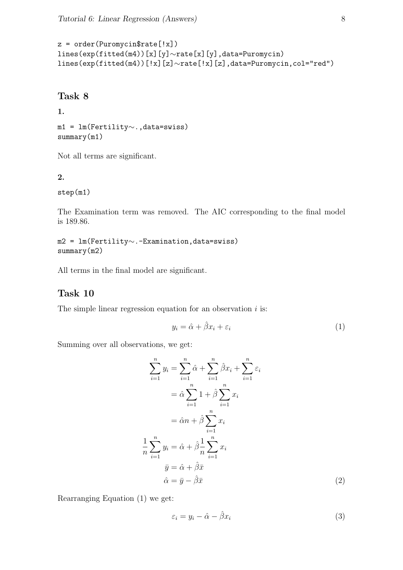```
z = order(Puromycin$rate['x])lines(exp(fitted(m4))[x][y]∼rate[x][y],data=Puromycin)
lines(exp(fitted(m4))[!x][z]∼rate[!x][z],data=Puromycin,col="red")
```
## Task 8

#### 1.

```
m1 = lm(Fertility∼.,data=swiss)
summary(m1)
```
Not all terms are significant.

#### 2.

step(m1)

The Examination term was removed. The AIC corresponding to the final model is 189.86.

m2 = lm(Fertility∼.-Examination,data=swiss) summary(m2)

All terms in the final model are significant.

# Task 10

The simple linear regression equation for an observation  $i$  is:

$$
y_i = \hat{\alpha} + \hat{\beta}x_i + \varepsilon_i \tag{1}
$$

Summing over all observations, we get:

$$
\sum_{i=1}^{n} y_i = \sum_{i=1}^{n} \hat{\alpha} + \sum_{i=1}^{n} \hat{\beta} x_i + \sum_{i=1}^{n} \varepsilon_i
$$
  

$$
= \hat{\alpha} \sum_{i=1}^{n} 1 + \hat{\beta} \sum_{i=1}^{n} x_i
$$
  

$$
= \hat{\alpha} n + \hat{\beta} \sum_{i=1}^{n} x_i
$$
  

$$
\frac{1}{n} \sum_{i=1}^{n} y_i = \hat{\alpha} + \hat{\beta} \frac{1}{n} \sum_{i=1}^{n} x_i
$$
  

$$
\bar{y} = \hat{\alpha} + \hat{\beta} \bar{x}
$$
  

$$
\hat{\alpha} = \bar{y} - \hat{\beta} \bar{x}
$$
 (2)

Rearranging Equation (1) we get:

$$
\varepsilon_i = y_i - \hat{\alpha} - \hat{\beta} x_i \tag{3}
$$